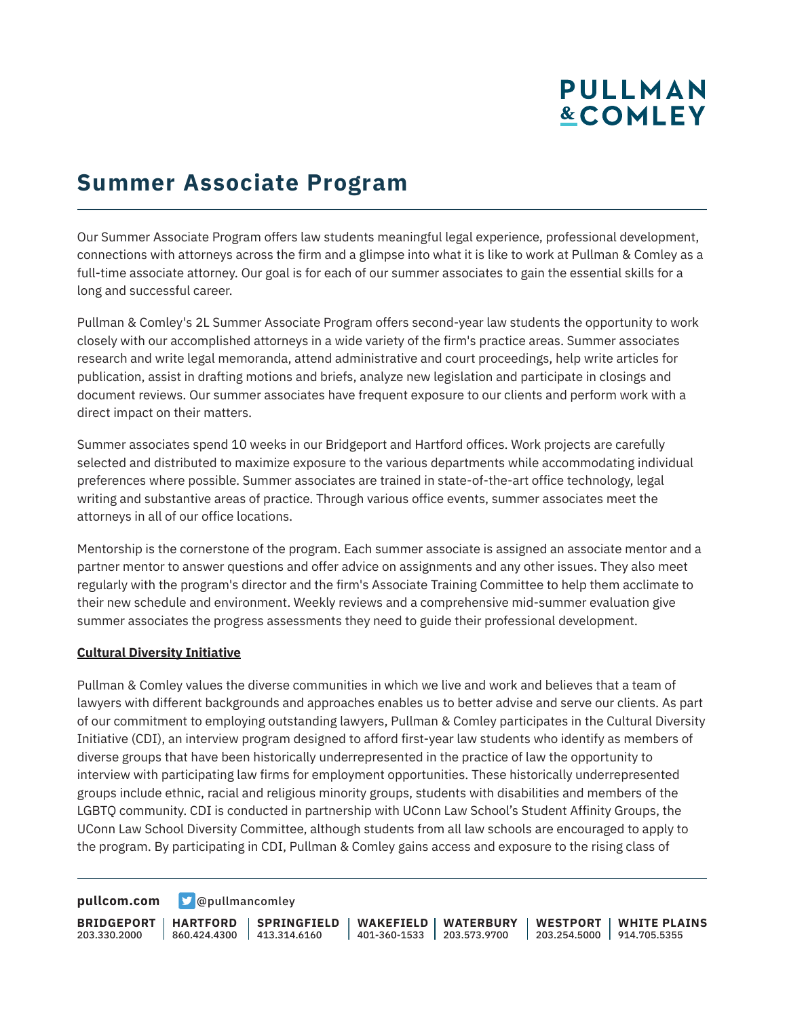# **Summer Associate Program**

Our Summer Associate Program offers law students meaningful legal experience, professional development, connections with attorneys across the firm and a glimpse into what it is like to work at Pullman & Comley as a full-time associate attorney. Our goal is for each of our summer associates to gain the essential skills for a long and successful career.

Pullman & Comley's 2L Summer Associate Program offers second-year law students the opportunity to work closely with our accomplished attorneys in a wide variety of the firm's practice areas. Summer associates research and write legal memoranda, attend administrative and court proceedings, help write articles for publication, assist in drafting motions and briefs, analyze new legislation and participate in closings and document reviews. Our summer associates have frequent exposure to our clients and perform work with a direct impact on their matters.

Summer associates spend 10 weeks in our Bridgeport and Hartford offices. Work projects are carefully selected and distributed to maximize exposure to the various departments while accommodating individual preferences where possible. Summer associates are trained in state-of-the-art office technology, legal writing and substantive areas of practice. Through various office events, summer associates meet the attorneys in all of our office locations.

Mentorship is the cornerstone of the program. Each summer associate is assigned an associate mentor and a partner mentor to answer questions and offer advice on assignments and any other issues. They also meet regularly with the program's director and the firm's Associate Training Committee to help them acclimate to their new schedule and environment. Weekly reviews and a comprehensive mid-summer evaluation give summer associates the progress assessments they need to guide their professional development.

#### **Cultural Diversity Initiative**

Pullman & Comley values the diverse communities in which we live and work and believes that a team of lawyers with different backgrounds and approaches enables us to better advise and serve our clients. As part of our commitment to employing outstanding lawyers, Pullman & Comley participates in the Cultural Diversity Initiative (CDI), an interview program designed to afford first-year law students who identify as members of diverse groups that have been historically underrepresented in the practice of law the opportunity to interview with participating law firms for employment opportunities. These historically underrepresented groups include ethnic, racial and religious minority groups, students with disabilities and members of the LGBTQ community. CDI is conducted in partnership with UConn Law School's Student Affinity Groups, the UConn Law School Diversity Committee, although students from all law schools are encouraged to apply to the program. By participating in CDI, Pullman & Comley gains access and exposure to the rising class of

**[pullcom.com](https://www.pullcom.com) g** [@pullmancomley](https://twitter.com/PullmanComley)

**BRIDGEPORT HARTFORD** 203.330.2000

860.424.4300 413.314.6160 **SPRINGFIELD** **WAKEFIELD WATERBURY** 401-360-1533 203.573.9700

**WESTPORT WHITE PLAINS** 203.254.5000 914.705.5355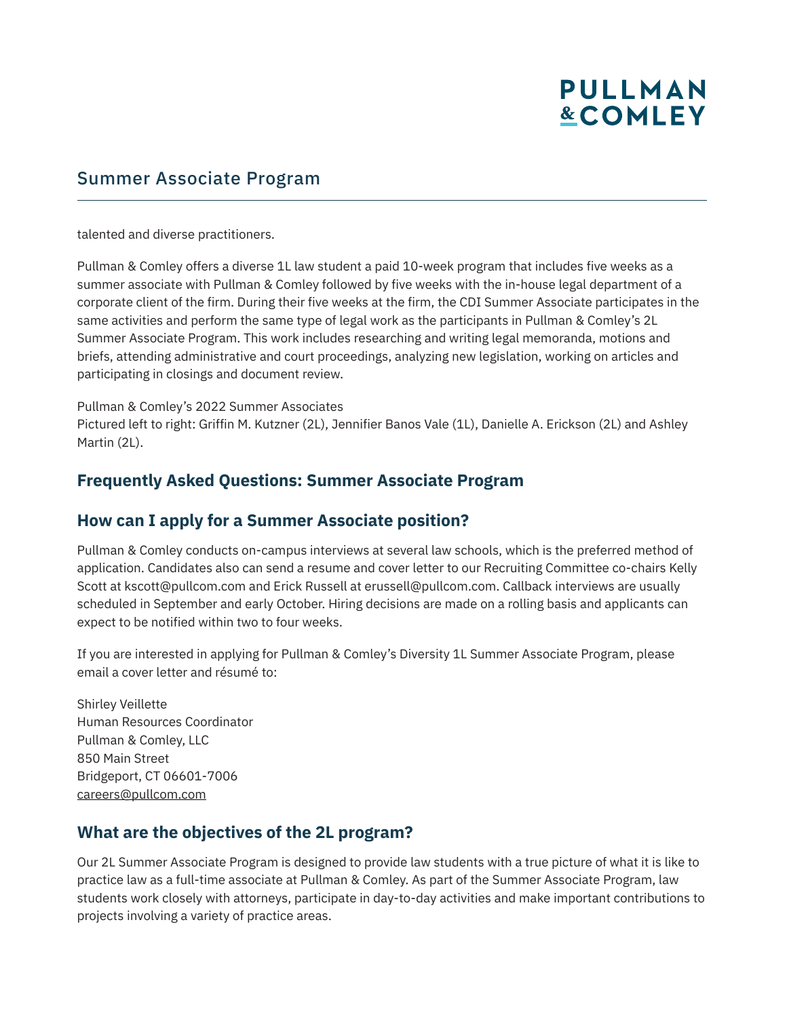## Summer Associate Program

talented and diverse practitioners.

Pullman & Comley offers a diverse 1L law student a paid 10-week program that includes five weeks as a summer associate with Pullman & Comley followed by five weeks with the in-house legal department of a corporate client of the firm. During their five weeks at the firm, the CDI Summer Associate participates in the same activities and perform the same type of legal work as the participants in Pullman & Comley's 2L Summer Associate Program. This work includes researching and writing legal memoranda, motions and briefs, attending administrative and court proceedings, analyzing new legislation, working on articles and participating in closings and document review.

Pullman & Comley's 2022 Summer Associates

Pictured left to right: Griffin M. Kutzner (2L), Jennifier Banos Vale (1L), Danielle A. Erickson (2L) and Ashley Martin (2L).

#### **Frequently Asked Questions: Summer Associate Program**

#### **How can I apply for a Summer Associate position?**

Pullman & Comley conducts on-campus interviews at several law schools, which is the preferred method of application. Candidates also can send a resume and cover letter to our Recruiting Committee co-chairs Kelly Scott at kscott@pullcom.com and Erick Russell at erussell@pullcom.com. Callback interviews are usually scheduled in September and early October. Hiring decisions are made on a rolling basis and applicants can expect to be notified within two to four weeks.

If you are interested in applying for Pullman & Comley's Diversity 1L Summer Associate Program, please email a cover letter and résumé to:

Shirley Veillette Human Resources Coordinator Pullman & Comley, LLC 850 Main Street Bridgeport, CT 06601-7006 careers@pullcom.com

### **What are the objectives of the 2L program?**

Our 2L Summer Associate Program is designed to provide law students with a true picture of what it is like to practice law as a full-time associate at Pullman & Comley. As part of the Summer Associate Program, law students work closely with attorneys, participate in day-to-day activities and make important contributions to projects involving a variety of practice areas.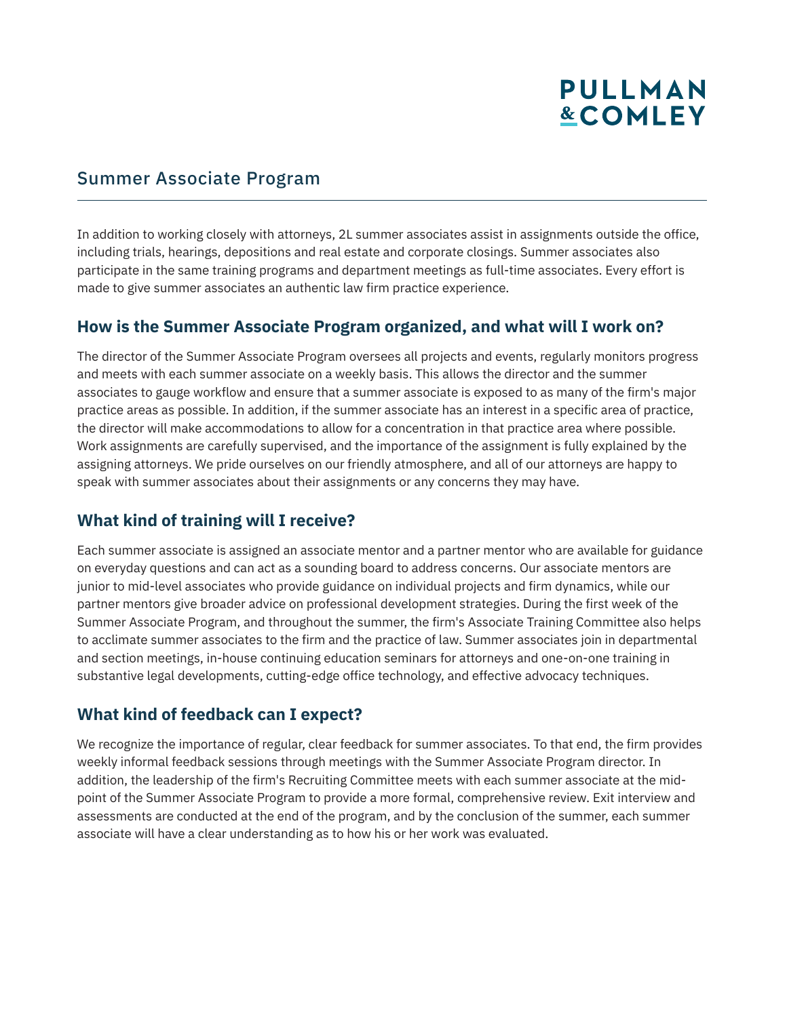### Summer Associate Program

In addition to working closely with attorneys, 2L summer associates assist in assignments outside the office, including trials, hearings, depositions and real estate and corporate closings. Summer associates also participate in the same training programs and department meetings as full-time associates. Every effort is made to give summer associates an authentic law firm practice experience.

### **How is the Summer Associate Program organized, and what will I work on?**

The director of the Summer Associate Program oversees all projects and events, regularly monitors progress and meets with each summer associate on a weekly basis. This allows the director and the summer associates to gauge workflow and ensure that a summer associate is exposed to as many of the firm's major practice areas as possible. In addition, if the summer associate has an interest in a specific area of practice, the director will make accommodations to allow for a concentration in that practice area where possible. Work assignments are carefully supervised, and the importance of the assignment is fully explained by the assigning attorneys. We pride ourselves on our friendly atmosphere, and all of our attorneys are happy to speak with summer associates about their assignments or any concerns they may have.

### **What kind of training will I receive?**

Each summer associate is assigned an associate mentor and a partner mentor who are available for guidance on everyday questions and can act as a sounding board to address concerns. Our associate mentors are junior to mid-level associates who provide guidance on individual projects and firm dynamics, while our partner mentors give broader advice on professional development strategies. During the first week of the Summer Associate Program, and throughout the summer, the firm's Associate Training Committee also helps to acclimate summer associates to the firm and the practice of law. Summer associates join in departmental and section meetings, in-house continuing education seminars for attorneys and one-on-one training in substantive legal developments, cutting-edge office technology, and effective advocacy techniques.

### **What kind of feedback can I expect?**

We recognize the importance of regular, clear feedback for summer associates. To that end, the firm provides weekly informal feedback sessions through meetings with the Summer Associate Program director. In addition, the leadership of the firm's Recruiting Committee meets with each summer associate at the midpoint of the Summer Associate Program to provide a more formal, comprehensive review. Exit interview and assessments are conducted at the end of the program, and by the conclusion of the summer, each summer associate will have a clear understanding as to how his or her work was evaluated.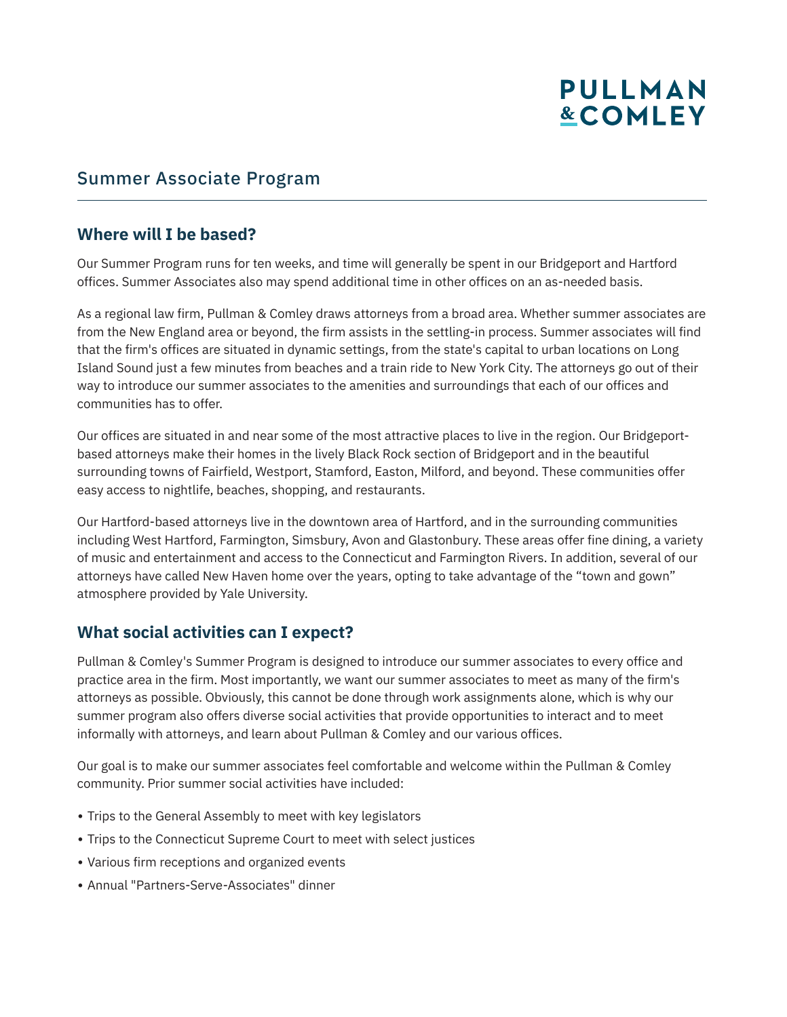### Summer Associate Program

#### **Where will I be based?**

Our Summer Program runs for ten weeks, and time will generally be spent in our Bridgeport and Hartford offices. Summer Associates also may spend additional time in other offices on an as-needed basis.

As a regional law firm, Pullman & Comley draws attorneys from a broad area. Whether summer associates are from the New England area or beyond, the firm assists in the settling-in process. Summer associates will find that the firm's offices are situated in dynamic settings, from the state's capital to urban locations on Long Island Sound just a few minutes from beaches and a train ride to New York City. The attorneys go out of their way to introduce our summer associates to the amenities and surroundings that each of our offices and communities has to offer.

Our offices are situated in and near some of the most attractive places to live in the region. Our Bridgeportbased attorneys make their homes in the lively Black Rock section of Bridgeport and in the beautiful surrounding towns of Fairfield, Westport, Stamford, Easton, Milford, and beyond. These communities offer easy access to nightlife, beaches, shopping, and restaurants.

Our Hartford-based attorneys live in the downtown area of Hartford, and in the surrounding communities including West Hartford, Farmington, Simsbury, Avon and Glastonbury. These areas offer fine dining, a variety of music and entertainment and access to the Connecticut and Farmington Rivers. In addition, several of our attorneys have called New Haven home over the years, opting to take advantage of the "town and gown" atmosphere provided by Yale University.

### **What social activities can I expect?**

Pullman & Comley's Summer Program is designed to introduce our summer associates to every office and practice area in the firm. Most importantly, we want our summer associates to meet as many of the firm's attorneys as possible. Obviously, this cannot be done through work assignments alone, which is why our summer program also offers diverse social activities that provide opportunities to interact and to meet informally with attorneys, and learn about Pullman & Comley and our various offices.

Our goal is to make our summer associates feel comfortable and welcome within the Pullman & Comley community. Prior summer social activities have included:

- Trips to the General Assembly to meet with key legislators
- Trips to the Connecticut Supreme Court to meet with select justices
- Various firm receptions and organized events
- Annual "Partners-Serve-Associates" dinner